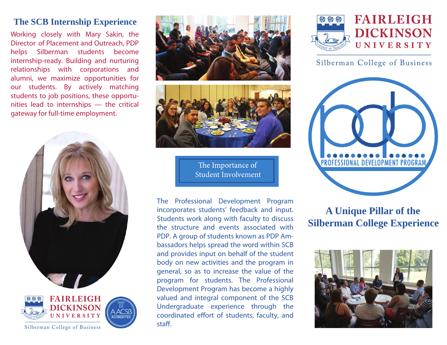## **The SCB Internship Experience**

Working closely with Mary Sakin, the Director of Placement and Outreach, PDP helps Silberman students become internship-ready. Building and nurturing relationships with corporations and alumni, we maximize opportunities for our students. By actively matching students to job positions, these opportunities lead to internships — the critical gateway for full-time employment.









The Importance of Student Involvement

The Professional Development Program incorporates students' feedback and input. Students work along with faculty to discuss the structure and events associated with PDP. A group of students known as PDP Ambassadors helps spread the word within SCB and provides input on behalf of the student body on new activities and the program in general, so as to increase the value of the program for students. The Professional Development Program has become a highly valued and integral component of the SCB Undergraduate experience through the coordinated effort of students, faculty, and staff.



Silberman College of Business



# **A Unique Pillar of the Silberman College Experience**